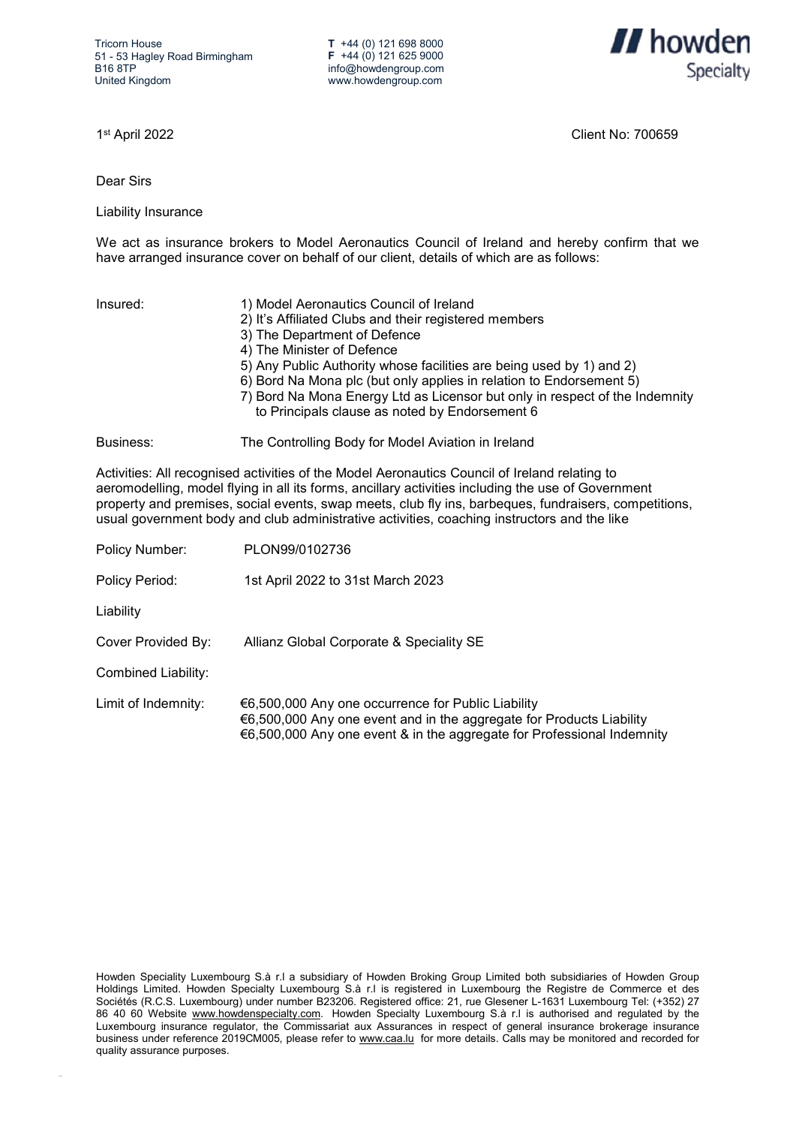**T** +44 (0) 121 698 8000 **F** +44 (0) 121 625 9000 info@howdengroup.com www.howdengroup.com



1st April 2022 Client No: 700659

Dear Sirs

Liability Insurance

We act as insurance brokers to Model Aeronautics Council of Ireland and hereby confirm that we have arranged insurance cover on behalf of our client, details of which are as follows:

| Insured:  | 1) Model Aeronautics Council of Ireland<br>2) It's Affiliated Clubs and their registered members<br>3) The Department of Defence<br>4) The Minister of Defence<br>5) Any Public Authority whose facilities are being used by 1) and 2)<br>6) Bord Na Mona plc (but only applies in relation to Endorsement 5)<br>7) Bord Na Mona Energy Ltd as Licensor but only in respect of the Indemnity<br>to Principals clause as noted by Endorsement 6 |
|-----------|------------------------------------------------------------------------------------------------------------------------------------------------------------------------------------------------------------------------------------------------------------------------------------------------------------------------------------------------------------------------------------------------------------------------------------------------|
| Business: | The Controlling Body for Model Aviation in Ireland                                                                                                                                                                                                                                                                                                                                                                                             |

Activities: All recognised activities of the Model Aeronautics Council of Ireland relating to aeromodelling, model flying in all its forms, ancillary activities including the use of Government property and premises, social events, swap meets, club fly ins, barbeques, fundraisers, competitions, usual government body and club administrative activities, coaching instructors and the like

| Policy Number: | PLON99/0102736 |
|----------------|----------------|
|                |                |

Policy Period: 1st April 2022 to 31st March 2023

Liability

Cover Provided By: Allianz Global Corporate & Speciality SE

Combined Liability:

Limit of Indemnity: €6,500,000 Any one occurrence for Public Liability €6,500,000 Any one event and in the aggregate for Products Liability €6,500,000 Any one event & in the aggregate for Professional Indemnity

Howden Speciality Luxembourg S.à r.l a subsidiary of Howden Broking Group Limited both subsidiaries of Howden Group Holdings Limited. Howden Specialty Luxembourg S.à r.l is registered in Luxembourg the Registre de Commerce et des Sociétés (R.C.S. Luxembourg) under number B23206. Registered office: 21, rue Glesener L-1631 Luxembourg Tel: (+352) 27 86 40 60 Website [www.howdenspecialty.com.](https://protect-eu.mimecast.com/s/NUz2C1j52cKL3QAuY_izR?domain=howdenspecialty.com) Howden Specialty Luxembourg S.à r.l is authorised and regulated by the Luxembourg insurance regulator, the Commissariat aux Assurances in respect of general insurance brokerage insurance business under reference 2019CM005, please refer to [www.caa.lu](https://protect-eu.mimecast.com/s/6wNjC3l74hVWqrgcYVRfN?domain=caa.lu) for more details. Calls may be monitored and recorded for quality assurance purposes.